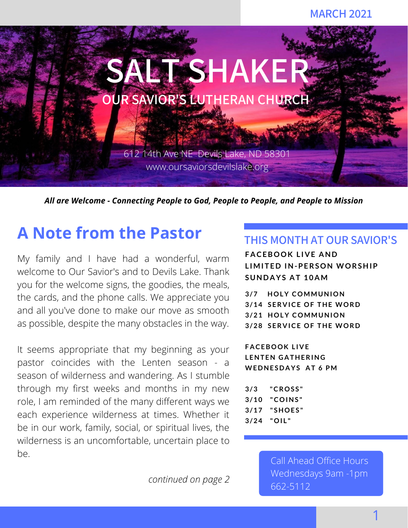

*All are Welcome - Connecting People to God, People to People, and People to Mission*

# **A Note from the Pastor**

My family and I have had a wonderful, warm welcome to Our Savior's and to Devils Lake. Thank you for the welcome signs, the goodies, the meals, the cards, and the phone calls. We appreciate you and all you've done to make our move as smooth as possible, despite the many obstacles in the way.

It seems appropriate that my beginning as your pastor coincides with the Lenten season - a season of wilderness and wandering. As I stumble through my first weeks and months in my new role, I am reminded of the many different ways we each experience wilderness at times. Whether it be in our work, family, social, or spiritual lives, the wilderness is an uncomfortable, uncertain place to be.

*continued on page 2*

### **THIS MONTH AT OUR SAVIOR'S**

**FACEBOOK LIVE AND L IMI T E D IN-PERSON WORSHIP S UND A YS A T 1 0 AM**

- **3 / 7 HOLY COMMUNION**
- **3 / 1 4 S ER V ICE OF THE WOR D**
- **3 / 2 1 HOLY COMMUNION**
- **3 / 2 8 S ER V ICE OF THE WOR D**

**F A CEBOOK L I V E L ENT EN G A THERING WE DNE S D A YS A T 6 PM**

| 3/3  | "CROSS" |
|------|---------|
| 3/10 | "COINS" |
| 3/17 | "SHOES" |
| 3/24 | "OIL"   |

Call Ahead Office Hours Wednesdays 9am -1pm 662-5112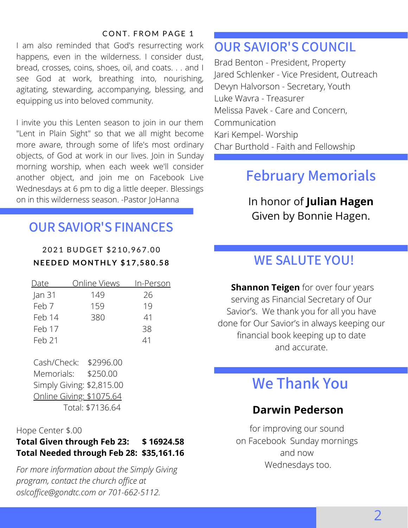### CONT. FROM PAGE 1

I am also reminded that God's resurrecting work happens, even in the wilderness. I consider dust, bread, crosses, coins, shoes, oil, and coats. . . and I see God at work, breathing into, nourishing, agitating, stewarding, accompanying, blessing, and equipping us into beloved community.

I invite you this Lenten season to join in our them "Lent in Plain Sight" so that we all might become more aware, through some of life's most ordinary objects, of God at work in our lives. Join in Sunday morning worship, when each week we'll consider another object, and join me on Facebook Live Wednesdays at 6 pm to dig a little deeper. Blessings on in this wilderness season. -Pastor JoHanna

## **OUR SAVIOR'S FINANCES**

### 2021 BUDGET \$210,967.00 **NE E D E D MONTHLY \$ 1 7 , 5 8 0 . 5 8**

| Date     | <b>Online Views</b> | In-Person |
|----------|---------------------|-----------|
| Jan $31$ | 149                 | 26        |
| Feb 7    | 159                 | 19        |
| Feb 14   | 380                 | 41        |
| Feb 17   |                     | 38        |
| Feb 21   |                     | 41        |
|          |                     |           |

Cash/Check: \$2996.00 Memorials: \$250.00 Simply Giving: \$2,815.00 Online Giving: \$1075.64 Total: \$7136.64

### Hope Center \$.00

### **Total Given through Feb 23: \$ 16924.58 Total Needed through Feb 28: \$35,161.16**

*For more information about the Simply Giving program, contact the church office at oslcoffice@gondtc.com or 701-662-5112.*

## **OUR SAVIOR'S COUNCIL**

Brad Benton - President, Property Jared Schlenker - Vice President, Outreach Devyn Halvorson - Secretary, Youth Luke Wavra - Treasurer Melissa Pavek - Care and Concern, Communication Kari Kempel- Worship Char Burthold - Faith and Fellowship

## **February Memorials**

In honor of **Julian Hagen** Given by Bonnie Hagen.

## **WE SALUTE YOU!**

**Shannon Teigen** for over four years serving as Financial Secretary of Our Savior's. We thank you for all you have done for Our Savior's in always keeping our financial book keeping up to date and accurate.

## **We Thank You**

### **Darwin Pederson**

for improving our sound on Facebook Sunday mornings and now Wednesdays too.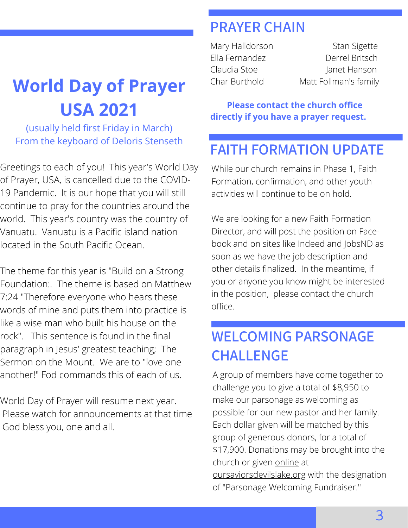# **World Day of Prayer USA 2021**

(usually held first Friday in March) From the keyboard of Deloris Stenseth

Greetings to each of you! This year's World Day of Prayer, USA, is cancelled due to the COVID-19 Pandemic. It is our hope that you will still continue to pray for the countries around the world. This year's country was the country of Vanuatu. Vanuatu is a Pacific island nation located in the South Pacific Ocean.

The theme for this year is "Build on a Strong Foundation:. The theme is based on Matthew 7:24 "Therefore everyone who hears these words of mine and puts them into practice is like a wise man who built his house on the rock". This sentence is found in the final paragraph in Jesus' greatest teaching; The Sermon on the Mount. We are to "love one another!" Fod commands this of each of us.

World Day of Prayer will resume next year. Please watch for announcements at that time God bless you, one and all.

## **PRAYER CHAIN**

Mary Halldorson Stan Sigette Ella Fernandez Derrel Britsch Claudia Stoe Janet Hanson Char Burthold Matt Follman's family

**Please contact the church office directly if you have a prayer request.**

## **FAITH FORMATION UPDATE**

While our church remains in Phase 1, Faith Formation, confirmation, and other youth activities will continue to be on hold.

We are looking for a new Faith Formation Director, and will post the position on Facebook and on sites like Indeed and JobsND as soon as we have the job description and other details finalized. In the meantime, if you or anyone you know might be interested in the position, please contact the church office.

# **WELCOMING PARSONAGE CHALLENGE**

A group of members have come together to challenge you to give a total of \$8,950 to make our parsonage as welcoming as possible for our new pastor and her family. Each dollar given will be matched by this group of generous donors, for a total of \$17,900. Donations may be brought into the church or given [online](https://www.aplos.com/aws/give/OurSaviorsLutheranChurch1/general) at [oursaviorsdevilslake.org](https://www.oursaviorsdevilslake.org/) with the designation of "Parsonage Welcoming Fundraiser."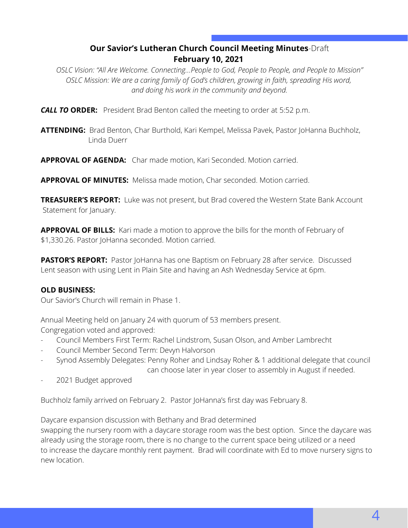### **Our Savior's Lutheran Church Council Meeting Minutes**-Draft **February 10, 2021**

*OSLC Vision: "All Are Welcome. Connecting…People to God, People to People, and People to Mission" OSLC Mission: We are a caring family of God's children, growing in faith, spreading His word, and doing his work in the community and beyond.*

*CALL TO* **ORDER:** President Brad Benton called the meeting to order at 5:52 p.m.

**ATTENDING:** Brad Benton, Char Burthold, Kari Kempel, Melissa Pavek, Pastor JoHanna Buchholz, Linda Duerr

**APPROVAL OF AGENDA:** Char made motion, Kari Seconded. Motion carried.

**APPROVAL OF MINUTES:** Melissa made motion, Char seconded. Motion carried.

**TREASURER'S REPORT:** Luke was not present, but Brad covered the Western State Bank Account Statement for January.

**APPROVAL OF BILLS:** Kari made a motion to approve the bills for the month of February of \$1,330.26. Pastor JoHanna seconded. Motion carried.

**PASTOR'S REPORT:** Pastor JoHanna has one Baptism on February 28 after service. Discussed Lent season with using Lent in Plain Site and having an Ash Wednesday Service at 6pm.

### **OLD BUSINESS:**

Our Savior's Church will remain in Phase 1.

Annual Meeting held on January 24 with quorum of 53 members present. Congregation voted and approved:

- Council Members First Term: Rachel Lindstrom, Susan Olson, and Amber Lambrecht
- Council Member Second Term: Devyn Halvorson
- Synod Assembly Delegates: Penny Roher and Lindsay Roher & 1 additional delegate that council can choose later in year closer to assembly in August if needed.
- 2021 Budget approved

Buchholz family arrived on February 2. Pastor JoHanna's first day was February 8.

Daycare expansion discussion with Bethany and Brad determined

swapping the nursery room with a daycare storage room was the best option. Since the daycare was already using the storage room, there is no change to the current space being utilized or a need to increase the daycare monthly rent payment. Brad will coordinate with Ed to move nursery signs to new location.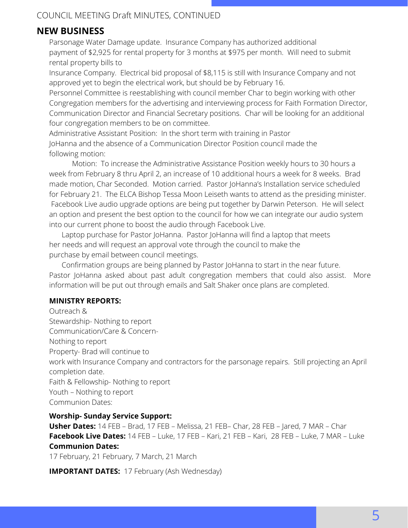### COUNCIL MEETING Draft MINUTES, CONTINUED

### **NEW BUSINESS**

Parsonage Water Damage update. Insurance Company has authorized additional payment of \$2,925 for rental property for 3 months at \$975 per month. Will need to submit rental property bills to

Insurance Company. Electrical bid proposal of \$8,115 is still with Insurance Company and not approved yet to begin the electrical work, but should be by February 16.

Personnel Committee is reestablishing with council member Char to begin working with other Congregation members for the advertising and interviewing process for Faith Formation Director, Communication Director and Financial Secretary positions. Char will be looking for an additional four congregation members to be on committee.

Administrative Assistant Position: In the short term with training in Pastor JoHanna and the absence of a Communication Director Position council made the following motion:

Motion: To increase the Administrative Assistance Position weekly hours to 30 hours a week from February 8 thru April 2, an increase of 10 additional hours a week for 8 weeks. Brad made motion, Char Seconded. Motion carried. Pastor JoHanna's Installation service scheduled for February 21. The ELCA Bishop Tessa Moon Leiseth wants to attend as the presiding minister. Facebook Live audio upgrade options are being put together by Darwin Peterson. He will select an option and present the best option to the council for how we can integrate our audio system into our current phone to boost the audio through Facebook Live.

Laptop purchase for Pastor JoHanna. Pastor JoHanna will find a laptop that meets her needs and will request an approval vote through the council to make the purchase by email between council meetings.

Confirmation groups are being planned by Pastor JoHanna to start in the near future. Pastor JoHanna asked about past adult congregation members that could also assist. More information will be put out through emails and Salt Shaker once plans are completed.

#### **MINISTRY REPORTS:**

Outreach & Stewardship- Nothing to report Communication/Care & Concern- Nothing to report Property- Brad will continue to work with Insurance Company and contractors for the parsonage repairs. Still projecting an April completion date. Faith & Fellowship- Nothing to report Youth – Nothing to report Communion Dates:

### **Worship- Sunday Service Support:**

**Usher Dates:** 14 FEB – Brad, 17 FEB – Melissa, 21 FEB– Char, 28 FEB – Jared, 7 MAR – Char **Facebook Live Dates:** 14 FEB – Luke, 17 FEB – Kari, 21 FEB – Kari, 28 FEB – Luke, 7 MAR – Luke **Communion Dates:**

17 February, 21 February, 7 March, 21 March

**IMPORTANT DATES:** 17 February (Ash Wednesday)